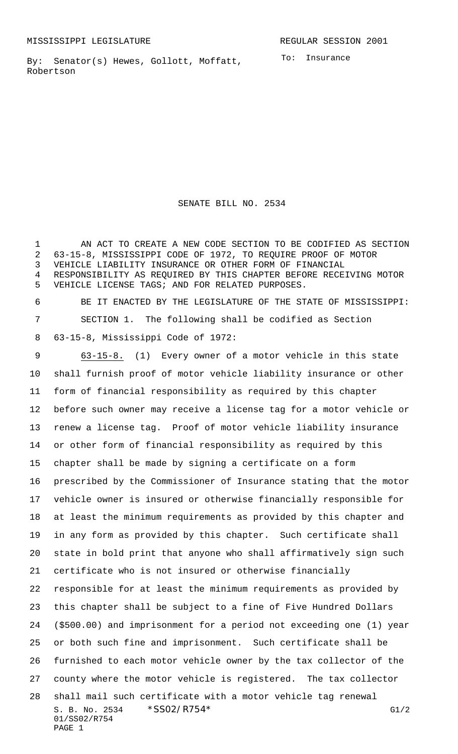By: Senator(s) Hewes, Gollott, Moffatt, Robertson

SENATE BILL NO. 2534

 AN ACT TO CREATE A NEW CODE SECTION TO BE CODIFIED AS SECTION 63-15-8, MISSISSIPPI CODE OF 1972, TO REQUIRE PROOF OF MOTOR VEHICLE LIABILITY INSURANCE OR OTHER FORM OF FINANCIAL RESPONSIBILITY AS REQUIRED BY THIS CHAPTER BEFORE RECEIVING MOTOR VEHICLE LICENSE TAGS; AND FOR RELATED PURPOSES.

 BE IT ENACTED BY THE LEGISLATURE OF THE STATE OF MISSISSIPPI: SECTION 1. The following shall be codified as Section 63-15-8, Mississippi Code of 1972:

S. B. No. 2534 \* SS02/R754\* G1/2 01/SS02/R754 PAGE 1 63-15-8. (1) Every owner of a motor vehicle in this state shall furnish proof of motor vehicle liability insurance or other form of financial responsibility as required by this chapter before such owner may receive a license tag for a motor vehicle or renew a license tag. Proof of motor vehicle liability insurance or other form of financial responsibility as required by this chapter shall be made by signing a certificate on a form prescribed by the Commissioner of Insurance stating that the motor vehicle owner is insured or otherwise financially responsible for at least the minimum requirements as provided by this chapter and in any form as provided by this chapter. Such certificate shall state in bold print that anyone who shall affirmatively sign such certificate who is not insured or otherwise financially responsible for at least the minimum requirements as provided by this chapter shall be subject to a fine of Five Hundred Dollars (\$500.00) and imprisonment for a period not exceeding one (1) year or both such fine and imprisonment. Such certificate shall be furnished to each motor vehicle owner by the tax collector of the county where the motor vehicle is registered. The tax collector shall mail such certificate with a motor vehicle tag renewal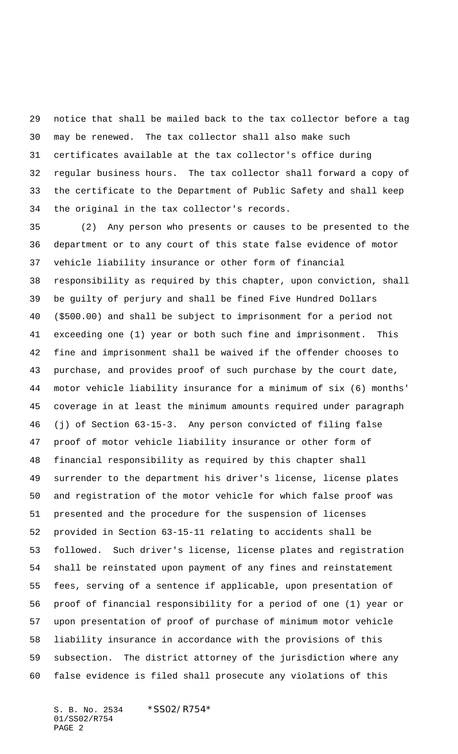notice that shall be mailed back to the tax collector before a tag may be renewed. The tax collector shall also make such certificates available at the tax collector's office during regular business hours. The tax collector shall forward a copy of the certificate to the Department of Public Safety and shall keep the original in the tax collector's records.

 (2) Any person who presents or causes to be presented to the department or to any court of this state false evidence of motor vehicle liability insurance or other form of financial responsibility as required by this chapter, upon conviction, shall be guilty of perjury and shall be fined Five Hundred Dollars (\$500.00) and shall be subject to imprisonment for a period not exceeding one (1) year or both such fine and imprisonment. This fine and imprisonment shall be waived if the offender chooses to purchase, and provides proof of such purchase by the court date, motor vehicle liability insurance for a minimum of six (6) months' coverage in at least the minimum amounts required under paragraph (j) of Section 63-15-3. Any person convicted of filing false proof of motor vehicle liability insurance or other form of financial responsibility as required by this chapter shall surrender to the department his driver's license, license plates and registration of the motor vehicle for which false proof was presented and the procedure for the suspension of licenses provided in Section 63-15-11 relating to accidents shall be followed. Such driver's license, license plates and registration shall be reinstated upon payment of any fines and reinstatement fees, serving of a sentence if applicable, upon presentation of proof of financial responsibility for a period of one (1) year or upon presentation of proof of purchase of minimum motor vehicle liability insurance in accordance with the provisions of this subsection. The district attorney of the jurisdiction where any false evidence is filed shall prosecute any violations of this

S. B. No. 2534 \*SS02/R754\* 01/SS02/R754 PAGE 2